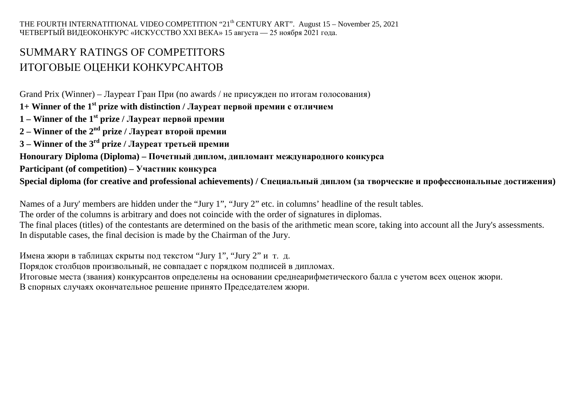THE FOURTH INTERNATITIONAL VIDEO COMPETITION "21<sup>th</sup> CENTURY ART". August 15 – November 25, 2021 ЧЕТВЕРТЫЙ ВИДЕОКОНКУРС «ИСКУССТВО XXI ВЕКА» 15 августа — 25 ноября 2021 года.

# SUMMARY RATINGS OF COMPETITORS ИТОГОВЫЕ ОЦЕНКИ КОНКУРСАНТОВ

Grand Prix (Winner) – Лауреат Гран При (no awards / не присужден по итогам голосования) **1+ Winner of the 1st prize with distinction / Лауреат первой премии с отличием 1 – Winner of the 1st prize / Лауреат первой премии 2 – Winner of the 2nd prize / Лауреат второй премии 3 – Winner of the 3rd prize / Лауреат третьей премии Honourary Diploma (Diploma) – Почетный диплом, дипломант международного конкурса Participant (of competition) – Участник конкурса Special diploma (for creative and professional achievements) / Специальный диплом (за творческие и профессиональные достижения)**

Names of a Jury' members are hidden under the "Jury 1", "Jury 2" etc. in columns' headline of the result tables.

The order of the columns is arbitrary and does not coincide with the order of signatures in diplomas.

The final places (titles) of the contestants are determined on the basis of the arithmetic mean score, taking into account all the Jury's assessments. In disputable cases, the final decision is made by the Chairman of the Jury.

Имена жюри в таблицах скрыты под текстом "Jury 1", "Jury 2" и т. д.

Порядок столбцов произвольный, не совпадает с порядком подписей в дипломах.

Итоговые места (звания) конкурсантов определены на основании среднеарифметического балла с учетом всех оценок жюри.

В спорных случаях окончательное решение принято Председателем жюри.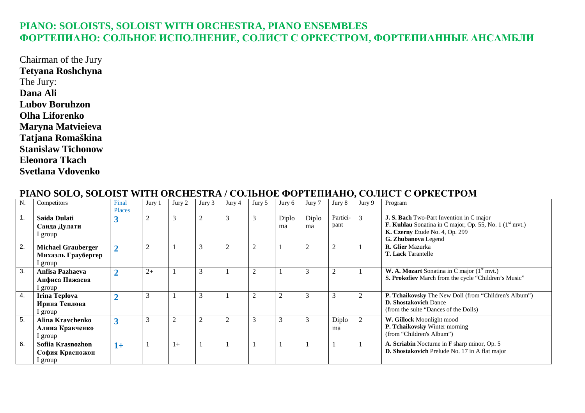### **PIANO: SOLOISTS, SOLOIST WITH ORCHESTRA, PIANO ENSEMBLES ФОРТЕПИАНО: СОЛЬНОЕ ИСПОЛНЕНИЕ, СОЛИСТ С ОРКЕСТРОМ, ФОРТЕПИАННЫЕ АНСАМБЛИ**

Chairman of the Jury **Tetyana Roshchyna**  The Jury: **Dana Ali Lubov Boruhzon Olha Liforenko Maryna Matvieieva Tatjana Romaškina Stanislaw Tichonow Eleonora Tkach Svetlana Vdovenko** 

### **PIANO SOLO, SOLOIST WITH ORCHESTRA / СОЛЬНОЕ ФОРТЕПИАНО, СОЛИСТ С ОРКЕСТРОМ**

| $N_{\cdot}$    | Competitors                                              | Final<br><b>Places</b> | Jury 1         | Jury 2 | Jury 3 | Jury 4 | Jury 5         | Jury 6      | Jury 7         | Jury 8           | Jury 9 | Program                                                                                                                                                                  |
|----------------|----------------------------------------------------------|------------------------|----------------|--------|--------|--------|----------------|-------------|----------------|------------------|--------|--------------------------------------------------------------------------------------------------------------------------------------------------------------------------|
| $\mathbf{1}$ . | <b>Saida Dulati</b><br>Саида Дулати<br>group             |                        | $\overline{2}$ | 3      |        | 3      | 3              | Diplo<br>ma | Diplo<br>ma    | Partici-<br>pant | 3      | J. S. Bach Two-Part Invention in C major<br>F. Kuhlau Sonatina in C major, Op. 55, No. 1 (1 <sup>st</sup> mvt.)<br>K. Czerny Etude No. 4, Op. 299<br>G. Zhubanova Legend |
| 2.             | <b>Michael Grauberger</b><br>Михаэль Граубергер<br>group |                        | 2              |        | 3      | 2      | 2              |             | $\overline{c}$ | $\overline{2}$   |        | <b>R. Glier Mazurka</b><br><b>T. Lack Tarantelle</b>                                                                                                                     |
| 3.             | Anfisa Pazhaeva<br>Анфиса Пажаева<br>group               |                        | $2+$           |        | 3      |        | $\overline{2}$ |             | 3              | $\overline{c}$   |        | <b>W. A. Mozart</b> Sonatina in C major $(1^{\text{st}} \text{ mvt.})$<br>S. Prokofiev March from the cycle "Children's Music"                                           |
| 4.             | Irina Teplova<br>Ирина Теплова<br>group                  |                        | 3              |        | 3      |        | 2              |             | 3              | 3                |        | P. Tchaikovsky The New Doll (from "Children's Album")<br><b>D. Shostakovich Dance</b><br>(from the suite "Dances of the Dolls)                                           |
| 5.             | Alina Kravchenko<br>Алина Кравченко<br>group             |                        | 3              | ∠      |        | ◠      | 3              |             |                | Diplo<br>ma      |        | W. Gillock Moonlight mood<br>P. Tchaikovsky Winter morning<br>(from "Children's Album")                                                                                  |
| 6.             | Sofiia Krasnozhon<br>София Красножон<br>group            | $1+$                   |                | $1+$   |        |        |                |             |                |                  |        | A. Scriabin Nocturne in F sharp minor, Op. 5<br>D. Shostakovich Prelude No. 17 in A flat major                                                                           |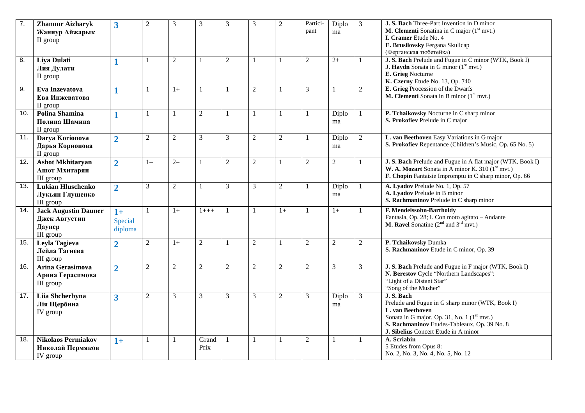| 7.  | <b>Zhannur Aizharyk</b><br>Жаннур Айжарык<br>II group               | $\overline{\mathbf{3}}$    | $\boldsymbol{2}$ | 3              | 3              | 3              | 3              | $\mathfrak{2}$ | Partici-<br>pant | Diplo<br>ma    | $\mathfrak{Z}$ | J. S. Bach Three-Part Invention in D minor<br>M. Clementi Sonatina in C major (1 <sup>st</sup> mvt.)<br>I. Cramer Etude No. 4<br>E. Brusilovsky Fergana Skullcap                                                                      |
|-----|---------------------------------------------------------------------|----------------------------|------------------|----------------|----------------|----------------|----------------|----------------|------------------|----------------|----------------|---------------------------------------------------------------------------------------------------------------------------------------------------------------------------------------------------------------------------------------|
| 8.  | <b>Liya Dulati</b><br>Лия Дулати<br>II group                        | $\mathbf{1}$               |                  | $\sqrt{2}$     |                | $\overline{2}$ | -1             | $\mathbf{1}$   | $\sqrt{2}$       | $2+$           | $\mathbf{1}$   | (Ферганская тюбетейка)<br>J. S. Bach Prelude and Fugue in C minor (WTK, Book I)<br>J. Haydn Sonata in G minor (1st mvt.)<br>E. Grieg Nocturne<br>K. Czerny Etude No. 13, Op. 740                                                      |
| 9.  | Eva Inzevatova<br>Ева Инжеватова<br>II group                        | $\mathbf{1}$               | $\mathbf{1}$     | $1+$           |                | $\mathbf{1}$   | $\overline{2}$ |                | 3                |                | $\sqrt{2}$     | E. Grieg Procession of the Dwarfs<br><b>M. Clementi</b> Sonata in B minor $(1st$ mvt.)                                                                                                                                                |
| 10. | <b>Polina Shamina</b><br>Полина Шамина<br>II group                  | $\mathbf{1}$               |                  | $\mathbf{1}$   | $\overline{2}$ | $\mathbf{1}$   | $\mathbf{1}$   | $\mathbf{1}$   | $\overline{1}$   | Diplo<br>ma    | $\mathbf{1}$   | P. Tchaikovsky Nocturne in C sharp minor<br>S. Prokofiev Prelude in C major                                                                                                                                                           |
| 11. | Darya Korionova<br>Дарья Корионова<br>II group                      | $\overline{2}$             | $\overline{2}$   | $\sqrt{2}$     | 3              | $\mathfrak{Z}$ | $\overline{2}$ | $\mathfrak{2}$ |                  | Diplo<br>ma    | $\sqrt{2}$     | L. van Beethoven Easy Variations in G major<br>S. Prokofiev Repentance (Children's Music, Op. 65 No. 5)                                                                                                                               |
| 12. | <b>Ashot Mkhitaryan</b><br>Ашот Мхитарян<br>III group               | $\overline{2}$             | $1 -$            | $2 -$          |                | $\sqrt{2}$     | $\overline{2}$ |                | $\overline{2}$   | $\mathbf{2}$   | 1              | J. S. Bach Prelude and Fugue in A flat major (WTK, Book I)<br>W. A. Mozart Sonata in A minor K. 310 (1 <sup>st</sup> mvt.)<br>F. Chopin Fantaisie Impromptu in C sharp minor, Op. 66                                                  |
| 13. | <b>Lukian Hluschenko</b><br>Лукьян Глущенко<br>III group            | $\overline{2}$             | 3                | $\overline{2}$ |                | $\overline{3}$ | 3              | $\overline{2}$ | $\mathbf{1}$     | Diplo<br>ma    | $\mathbf{1}$   | A. Lyadov Prelude No. 1, Op. 57<br>A. Lyadov Prelude in B minor<br>S. Rachmaninov Prelude in C sharp minor                                                                                                                            |
| 14. | <b>Jack Augustin Dauner</b><br>Джек Августин<br>Даунер<br>III group | $1+$<br>Special<br>diploma |                  | $1+$           | $1 + + +$      |                |                | $1+$           |                  | $1+$           |                | F. Mendelssohn-Bartholdy<br>Fantasia, Op. 28; I. Con moto agitato - Andante<br><b>M. Ravel</b> Sonatine $(2^{nd}$ and $3^{rd}$ mvt.)                                                                                                  |
| 15. | Leyla Tagieva<br>Лейла Тагиева<br>III group                         | $\overline{2}$             | $\overline{2}$   | $1+$           | $\overline{2}$ | $\mathbf{1}$   | $\overline{2}$ |                | $\overline{2}$   | $\overline{2}$ | $\overline{2}$ | P. Tchaikovsky Dumka<br>S. Rachmaninov Etude in C minor, Op. 39                                                                                                                                                                       |
| 16. | Arina Gerasimova<br>Арина Герасимова<br>III group                   | $\overline{2}$             | $\overline{c}$   | $\sqrt{2}$     | $\overline{c}$ | $\overline{2}$ | $\overline{2}$ | $\mathfrak{2}$ | $\overline{2}$   | 3              | $\mathfrak{Z}$ | J. S. Bach Prelude and Fugue in F major (WTK, Book I)<br>N. Berestov Cycle "Northern Landscapes":<br>"Light of a Distant Star"<br>"Song of the Musher"                                                                                |
| 17. | Liia Shcherbyna<br>Лія Щербина<br>IV group                          | $\overline{\mathbf{3}}$    | $\sqrt{2}$       | 3              | 3              | 3              | 3              | 2              | 3                | Diplo<br>ma    | 3              | J. S. Bach<br>Prelude and Fugue in G sharp minor (WTK, Book I)<br>L. van Beethoven<br>Sonata in G major, Op. 31, No. 1 (1 <sup>st</sup> mvt.)<br>S. Rachmaninov Etudes-Tableaux, Op. 39 No. 8<br>J. Sibelius Concert Etude in A minor |
| 18. | <b>Nikolaos Permiakov</b><br>Николай Пермяков<br>IV group           | $1+$                       | $\mathbf{1}$     | -1             | Grand<br>Prix  | $\mathbf{1}$   | -1             | -1             | $\overline{2}$   |                | $\mathbf{1}$   | A. Scriabin<br>5 Etudes from Opus 8:<br>No. 2, No. 3, No. 4, No. 5, No. 12                                                                                                                                                            |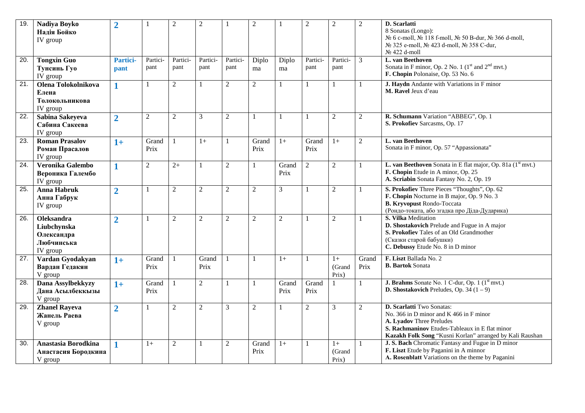| 19.             | Nadiya Boyko<br>Надія Бойко<br>IV group                                  | $\overline{2}$   | $\mathbf{1}$     | $\overline{2}$   | $\overline{c}$   | $\mathbf{1}$    | $\overline{2}$ | 1              | $\overline{2}$   | $\overline{2}$          | $\overline{2}$ | D. Scarlatti<br>8 Sonatas (Longo):<br>№ 6 c-moll, № 118 f-moll, № 50 B-dur, № 366 d-moll,<br>№ 325 e-moll, № 423 d-moll, № 358 C-dur,<br>№ 422 d-moll                                                          |
|-----------------|--------------------------------------------------------------------------|------------------|------------------|------------------|------------------|-----------------|----------------|----------------|------------------|-------------------------|----------------|----------------------------------------------------------------------------------------------------------------------------------------------------------------------------------------------------------------|
| 20.             | <b>Tongxin Guo</b><br>Тунсинь Гуо<br>IV group                            | Partici-<br>pant | Partici-<br>pant | Partici-<br>pant | Partici-<br>pant | Partici<br>pant | Diplo<br>ma    | Diplo<br>ma    | Partici-<br>pant | Partici-<br>pant        | 3              | L. van Beethoven<br>Sonata in F minor, Op. 2 No. 1 (1 <sup>st</sup> and 2 <sup>nd</sup> mvt.)<br>F. Chopin Polonaise, Op. 53 No. 6                                                                             |
| $\overline{21}$ | Olena Tolokolnikova<br>Елена<br>Толокольникова<br>IV group               | $\mathbf{1}$     | $\overline{1}$   | $\overline{2}$   |                  | $\overline{2}$  | $\overline{2}$ | $\mathbf{1}$   | 1                |                         | 1              | J. Haydn Andante with Variations in F minor<br>M. Ravel Jeux d'eau                                                                                                                                             |
| 22.             | Sabina Sakeyeva<br>Сабина Сакеева<br>IV group                            | $\overline{2}$   | $\overline{2}$   | $\overline{c}$   | 3                | $\overline{2}$  | $\mathbf{1}$   | 1              |                  | $\overline{2}$          | $\overline{2}$ | R. Schumann Variation "ABBEG", Op. 1<br>S. Prokofiev Sarcasms, Op. 17                                                                                                                                          |
| 23.             | <b>Roman Prasalov</b><br>Роман Прасалов<br>IV group                      | $1+$             | Grand<br>Prix    | -1               | $1+$             | $\mathbf{1}$    | Grand<br>Prix  | $1+$           | Grand<br>Prix    | $1+$                    | $\sqrt{2}$     | L. van Beethoven<br>Sonata in F minor, Op. 57 "Appassionata"                                                                                                                                                   |
| 24.             | Veronika Galembo<br>Вероника Галембо<br>IV group                         | $\mathbf{1}$     | $\overline{2}$   | $\overline{2+}$  |                  | $\overline{2}$  | $\mathbf{1}$   | Grand<br>Prix  | $\overline{2}$   | $\overline{2}$          | 1              | L. van Beethoven Sonata in E flat major, Op. 81a (1st mvt.)<br>F. Chopin Etude in A minor, Op. 25<br>A. Scriabin Sonata Fantasy No. 2, Op. 19                                                                  |
| $\overline{25}$ | <b>Anna Habruk</b><br>Анна Габрук<br>IV group                            | $\overline{2}$   | $\overline{1}$   | $\overline{2}$   | $\overline{c}$   | $\overline{2}$  | $\overline{2}$ | 3              |                  | $\overline{2}$          | $\mathbf{1}$   | S. Prokofiev Three Pieces "Thoughts", Op. 62<br>F. Chopin Nocturne in B major, Op. 9 No. 3<br><b>B. Kryvopust Rondo-Toccata</b><br>(Рондо-токата, або згадка про Діда-Дударика)                                |
| 26.             | <b>Oleksandra</b><br>Liubchynska<br>Олександра<br>Любчинська<br>IV group | $\overline{2}$   | $\mathbf{1}$     | $\overline{c}$   | $\overline{2}$   | $\sqrt{2}$      | 2              | $\overline{2}$ | -1               | $\overline{2}$          | -1             | S. Vilka Meditation<br>D. Shostakovich Prelude and Fugue in A major<br>S. Prokofiev Tales of an Old Grandmother<br>(Сказки старой бабушки)<br>C. Debussy Etude No. 8 in D minor                                |
| 27.             | Vardan Gyodakyan<br>Вардан Гедакян<br>V group                            | $1+$             | Grand<br>Prix    |                  | Grand<br>Prix    |                 |                | $1+$           |                  | $1+$<br>(Grand<br>Prix) | Grand<br>Prix  | F. Liszt Ballada No. 2<br><b>B. Bartok Sonata</b>                                                                                                                                                              |
| 28.             | Dana Assylbekkyzy<br>Дана Асылбеккызы<br>V group                         | $1+$             | Grand<br>Prix    | $\mathbf{1}$     | $\overline{c}$   | $\mathbf{1}$    | 1              | Grand<br>Prix  | Grand<br>Prix    |                         | $\mathbf{1}$   | <b>J. Brahms</b> Sonate No. 1 C-dur, Op. 1 (1 <sup>st</sup> mvt.)<br><b>D. Shostakovich Preludes</b> , Op. 34 $(1 – 9)$                                                                                        |
| 29.             | <b>Zhanel Rayeva</b><br>Жанель Раева<br>V group                          | $\overline{2}$   | $\overline{1}$   | $\overline{2}$   | $\overline{c}$   | 3               | $\overline{2}$ | 1              | $\overline{2}$   | 3                       | $\overline{2}$ | D. Scarlatti Two Sonatas:<br>No. 366 in D minor and K 466 in F minor<br>A. Lyadov Three Preludes<br>S. Rachmaninov Etudes-Tableaux in E flat minor<br>Kazakh Folk Song "Kusni Korlan" arranged by Kali Raushan |
| 30.             | Anastasia Borodkina<br>Анастасия Бородкина<br>V group                    | 1                | $1+$             | $\boldsymbol{2}$ |                  | $\mathfrak{2}$  | Grand<br>Prix  | $1+$           |                  | $1+$<br>(Grand<br>Prix) | $\mathbf{1}$   | J. S. Bach Chromatic Fantasy and Fugue in D minor<br>F. Liszt Etude by Paganini in A minnor<br>A. Rosenblatt Variations on the theme by Paganini                                                               |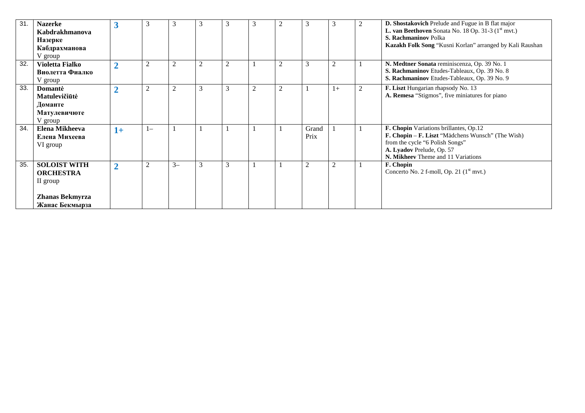| 31. | <b>Nazerke</b><br>Kabdrakhmanova<br>Назерке<br>Кабдрахманова<br>V group                  | 3              | 3              | 3              | 3 | 3              | 3              |                | 3              |                | $\overline{c}$ | D. Shostakovich Prelude and Fugue in B flat major<br>L. van Beethoven Sonata No. 18 Op. 31-3 (1st mvt.)<br><b>S. Rachmaninov Polka</b><br>Kazakh Folk Song "Kusni Korlan" arranged by Kali Raushan |
|-----|------------------------------------------------------------------------------------------|----------------|----------------|----------------|---|----------------|----------------|----------------|----------------|----------------|----------------|----------------------------------------------------------------------------------------------------------------------------------------------------------------------------------------------------|
| 32. | Violetta Fialko<br>Виолетта Фиалко<br>V group                                            | $\overline{2}$ | $\overline{c}$ | $\overline{2}$ | 2 | $\overline{2}$ |                | $\overline{2}$ | 3              | $\overline{2}$ |                | N. Medtner Sonata reminiscenza, Op. 39 No. 1<br>S. Rachmaninov Etudes-Tableaux, Op. 39 No. 8<br>S. Rachmaninov Etudes-Tableaux, Op. 39 No. 9                                                       |
| 33. | Domantė<br>Matulevičiūtė<br>Доманте<br>Матулевичюте<br>V group                           | $\overline{2}$ | $\overline{2}$ | $\overline{2}$ | 3 | 3              | $\overline{2}$ | $\overline{2}$ |                | $1+$           | $\overline{2}$ | F. Liszt Hungarian rhapsody No. 13<br>A. Remesa "Stigmos", five miniatures for piano                                                                                                               |
| 34. | Elena Mikheeva<br>Елена Михеева<br>VI group                                              | $1+$           | $1 -$          |                |   |                |                |                | Grand<br>Prix  |                |                | F. Chopin Variations brillantes, Op.12<br>F. Chopin – F. Liszt "Mädchens Wunsch" (The Wish)<br>from the cycle "6 Polish Songs"<br>A. Lyadov Prelude, Op. 57<br>N. Mikheev Theme and 11 Variations  |
| 35. | <b>SOLOIST WITH</b><br><b>ORCHESTRA</b><br>II group<br>Zhanas Bekmyrza<br>Жанас Бекмырза | $\overline{2}$ | $\overline{2}$ | $3-$           | 3 | 3              |                |                | $\overline{2}$ | $\overline{2}$ |                | F. Chopin<br>Concerto No. 2 f-moll, Op. 21 (1 <sup>st</sup> mvt.)                                                                                                                                  |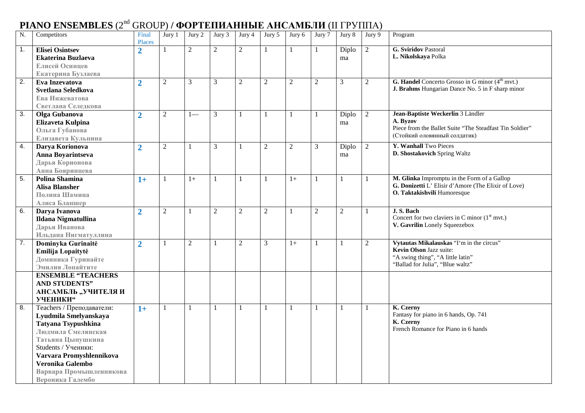# **PIANO ENSEMBLES** (2nd GROUP) **/ ФОРТЕПИАННЫЕ АНСАМБЛИ** (II ГРУППА)

| N. | Competitors                                 | Final          | Jury 1           | Jury $2$       | Jury 3         | Jury 4         | Jury 5         | Jury 6         | Jury 7         | Jury 8         | Jury 9         | Program                                                     |
|----|---------------------------------------------|----------------|------------------|----------------|----------------|----------------|----------------|----------------|----------------|----------------|----------------|-------------------------------------------------------------|
|    |                                             | <b>Places</b>  |                  | $\overline{2}$ | $\overline{2}$ | $\overline{2}$ |                |                |                |                |                | <b>G. Sviridov Pastoral</b>                                 |
| 1. | <b>Elisei Osintsev</b>                      | $\overline{2}$ |                  |                |                |                |                | $\mathbf{1}$   |                | Diplo          | $\overline{2}$ | L. Nikolskaya Polka                                         |
|    | <b>Ekaterina Buzlaeva</b><br>Елисей Осинцев |                |                  |                |                |                |                |                |                | ma             |                |                                                             |
|    |                                             |                |                  |                |                |                |                |                |                |                |                |                                                             |
| 2. | Екатерина Бузлаева<br>Eva Inzevatova        |                |                  | $\overline{3}$ |                |                |                | $\overline{2}$ |                | 3              |                | G. Handel Concerto Grosso in G minor (4 <sup>th</sup> mvt.) |
|    | <b>Svetlana Seledkova</b>                   | $\overline{2}$ | $\overline{2}$   |                | 3              | 2              | 2              |                | $\mathfrak{2}$ |                | $\overline{2}$ | J. Brahms Hungarian Dance No. 5 in F sharp minor            |
|    | Ева Инжеватова                              |                |                  |                |                |                |                |                |                |                |                |                                                             |
|    | Светлана Селедкова                          |                |                  |                |                |                |                |                |                |                |                |                                                             |
| 3. | <b>Olga Gubanova</b>                        |                | $\overline{2}$   |                | 3              | $\overline{1}$ |                |                |                | Diplo          | $\overline{2}$ | Jean-Baptiste Weckerlin 3 Ländler                           |
|    | Elizaveta Kulpina                           | $\overline{2}$ |                  |                |                |                |                |                |                | ma             |                | A. Byzov                                                    |
|    | Ольга Губанова                              |                |                  |                |                |                |                |                |                |                |                | Piece from the Ballet Suite "The Steadfast Tin Soldier"     |
|    | Елизавета Кульпина                          |                |                  |                |                |                |                |                |                |                |                | (Стойкий оловянный солдатик)                                |
| 4. | Darya Korionova                             |                | $\boldsymbol{2}$ | $\mathbf{1}$   | $\mathfrak{Z}$ | $\mathbf{1}$   | $\overline{2}$ | $\overline{2}$ | 3              | Diplo          | $\sqrt{2}$     | <b>Y. Wanhall Two Pieces</b>                                |
|    | Anna Boyarintseva                           | $\overline{2}$ |                  |                |                |                |                |                |                | ma             |                | D. Shostakovich Spring Waltz                                |
|    | Дарья Корионова                             |                |                  |                |                |                |                |                |                |                |                |                                                             |
|    | Анна Бояринцева                             |                |                  |                |                |                |                |                |                |                |                |                                                             |
| 5. | <b>Polina Shamina</b>                       | $1+$           |                  | $1+$           | $\mathbf{1}$   | $\mathbf{1}$   | 1              | $1+$           |                | 1              |                | M. Glinka Impromptu in the Form of a Gallop                 |
|    | <b>Alisa Blansher</b>                       |                |                  |                |                |                |                |                |                |                |                | G. Donizetti L' Elisir d'Amore (The Elixir of Love)         |
|    | Полина Шамина                               |                |                  |                |                |                |                |                |                |                |                | O. Taktakishvili Humoresque                                 |
|    | Алиса Бланшер                               |                |                  |                |                |                |                |                |                |                |                |                                                             |
| 6. | Darya Ivanova                               | $\overline{2}$ | $\sqrt{2}$       |                | $\overline{2}$ | $\overline{2}$ | $\overline{2}$ |                | $\overline{2}$ | $\overline{2}$ |                | J.S. Bach                                                   |
|    | <b>Ildana Nigmatullina</b>                  |                |                  |                |                |                |                |                |                |                |                | Concert for two claviers in C minor $(1st$ mvt.)            |
|    | Дарья Иванова                               |                |                  |                |                |                |                |                |                |                |                | V. Gavrilin Lonely Squeezebox                               |
|    | Ильдана Нигматуллина                        |                |                  |                |                |                |                |                |                |                |                |                                                             |
| 7. | Dominyka Gurinaitė                          | $\overline{2}$ |                  | $\overline{2}$ |                | $\overline{2}$ | $\mathfrak{Z}$ | $1+$           |                |                | $\overline{2}$ | Vytautas Mikalauskas "I'm in the circus"                    |
|    | Emilija Lopaitytė                           |                |                  |                |                |                |                |                |                |                |                | Kevin Olson Jazz suite:                                     |
|    | Доминика Гуринайте                          |                |                  |                |                |                |                |                |                |                |                | "A swing thing", "A little latin"                           |
|    | Эмилия Лопайтите                            |                |                  |                |                |                |                |                |                |                |                | "Ballad for Julia", "Blue waltz"                            |
|    | <b>ENSEMBLE "TEACHERS</b>                   |                |                  |                |                |                |                |                |                |                |                |                                                             |
|    | <b>AND STUDENTS"</b>                        |                |                  |                |                |                |                |                |                |                |                |                                                             |
|    | АНСАМБЛЬ "УЧИТЕЛЯ И                         |                |                  |                |                |                |                |                |                |                |                |                                                             |
|    | УЧЕНИКИ"                                    |                |                  |                |                |                |                |                |                |                |                |                                                             |
| 8. | Teachers / Преподаватели:                   | $1+$           |                  |                |                | $\mathbf{1}$   |                | $\overline{1}$ |                |                |                | K. Czerny                                                   |
|    | Lyudmila Smelyanskaya                       |                |                  |                |                |                |                |                |                |                |                | Fantasy for piano in 6 hands, Op. 741                       |
|    | <b>Tatyana Tsypushkina</b>                  |                |                  |                |                |                |                |                |                |                |                | K. Czerny                                                   |
|    | Людмила Смелянская                          |                |                  |                |                |                |                |                |                |                |                | French Romance for Piano in 6 hands                         |
|    | Татьяна Цыпушкина                           |                |                  |                |                |                |                |                |                |                |                |                                                             |
|    | Students / Ученики:                         |                |                  |                |                |                |                |                |                |                |                |                                                             |
|    | Varvara Promyshlennikova                    |                |                  |                |                |                |                |                |                |                |                |                                                             |
|    | Veronika Galembo                            |                |                  |                |                |                |                |                |                |                |                |                                                             |
|    | Варвара Промышленникова                     |                |                  |                |                |                |                |                |                |                |                |                                                             |
|    | Вероника Галембо                            |                |                  |                |                |                |                |                |                |                |                |                                                             |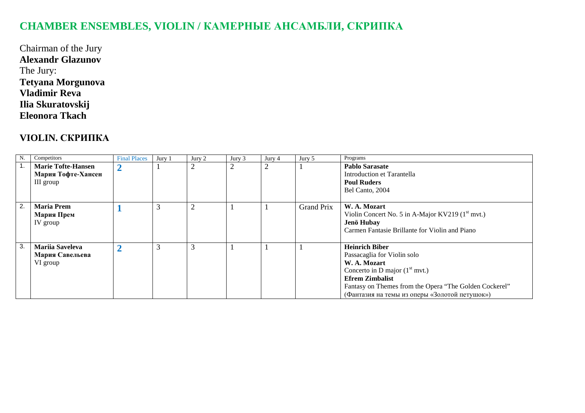# **CHAMBER ENSEMBLES, VIOLIN / КАМЕРНЫЕ АНСАМБЛИ, СКРИПКА**

Chairman of the Jury **Alexandr Glazunov** The Jury: **Tetyana Morgunova Vladimir Reva Ilia Skuratovskij Eleonora Tkach**

### **VIOLIN. СКРИПКА**

| N. | Competitors               | <b>Final Places</b> | Jury 1 | Jury 2         | Jury 3         | Jury 4 | Jury 5            | Programs                                               |
|----|---------------------------|---------------------|--------|----------------|----------------|--------|-------------------|--------------------------------------------------------|
| 1. | <b>Marie Tofte-Hansen</b> | $\mathbf{\Omega}$   |        | ↑              | $\overline{2}$ |        |                   | <b>Pablo Sarasate</b>                                  |
|    | Мария Тофте-Хансен        |                     |        |                |                |        |                   | Introduction et Tarantella                             |
|    | III group                 |                     |        |                |                |        |                   | <b>Poul Ruders</b>                                     |
|    |                           |                     |        |                |                |        |                   | Bel Canto, 2004                                        |
|    |                           |                     |        |                |                |        |                   |                                                        |
| 2. | <b>Maria Prem</b>         |                     | 3      | $\overline{2}$ |                |        | <b>Grand Prix</b> | W. A. Mozart                                           |
|    | Мария Прем                |                     |        |                |                |        |                   | Violin Concert No. 5 in A-Major KV219 $(1st$ mvt.)     |
|    | IV group                  |                     |        |                |                |        |                   | Jenö Hubay                                             |
|    |                           |                     |        |                |                |        |                   | Carmen Fantasie Brillante for Violin and Piano         |
|    |                           |                     |        |                |                |        |                   |                                                        |
| 3. | Mariia Saveleva           | $\mathbf{\Omega}$   | 3      | 3              |                |        |                   | <b>Heinrich Biber</b>                                  |
|    | Мария Савельева           |                     |        |                |                |        |                   | Passacaglia for Violin solo                            |
|    | VI group                  |                     |        |                |                |        |                   | W. A. Mozart                                           |
|    |                           |                     |        |                |                |        |                   | Concerto in D major $(1st$ mvt.)                       |
|    |                           |                     |        |                |                |        |                   | <b>Efrem Zimbalist</b>                                 |
|    |                           |                     |        |                |                |        |                   | Fantasy on Themes from the Opera "The Golden Cockerel" |
|    |                           |                     |        |                |                |        |                   | (Фантазия на темы из оперы «Золотой петушок»)          |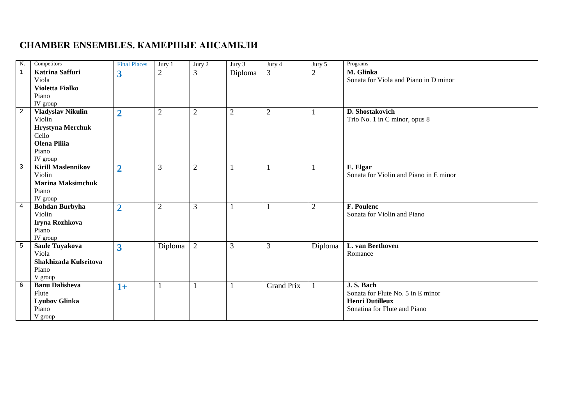## **CHAMBER ENSEMBLES. КАМЕРНЫЕ АНСАМБЛИ**

| N.             | Competitors                                                                                                 | <b>Final Places</b>     | Jury 1         | Jury 2         | Jury 3         | Jury 4            | Jury 5         | Programs                                                                                                 |
|----------------|-------------------------------------------------------------------------------------------------------------|-------------------------|----------------|----------------|----------------|-------------------|----------------|----------------------------------------------------------------------------------------------------------|
| $\overline{1}$ | <b>Katrina Saffuri</b><br>Viola<br>Violetta Fialko<br>Piano<br>IV group                                     | $\overline{\mathbf{3}}$ | $\overline{2}$ | 3              | Diploma        | $\mathfrak{Z}$    | 2              | M. Glinka<br>Sonata for Viola and Piano in D minor                                                       |
| $\overline{2}$ | <b>Vladyslav Nikulin</b><br>Violin<br>Hrystyna Merchuk<br>Cello<br><b>Olena Piliia</b><br>Piano<br>IV group | $\overline{2}$          | $\overline{2}$ | $\overline{2}$ | $\overline{2}$ | $\sqrt{2}$        |                | D. Shostakovich<br>Trio No. 1 in C minor, opus 8                                                         |
| $\overline{3}$ | <b>Kirill Maslennikov</b><br>Violin<br><b>Marina Maksimchuk</b><br>Piano<br>IV group                        | $\overline{2}$          | 3              | $\sqrt{2}$     |                |                   |                | E. Elgar<br>Sonata for Violin and Piano in E minor                                                       |
| $\overline{4}$ | <b>Bohdan Burbyha</b><br>Violin<br>Iryna Rozhkova<br>Piano<br>IV group                                      | $\overline{2}$          | $\overline{2}$ | 3              |                |                   | $\overline{2}$ | F. Poulenc<br>Sonata for Violin and Piano                                                                |
| $\sqrt{5}$     | Saule Tuyakova<br>Viola<br>Shakhizada Kulseitova<br>Piano<br>V group                                        | $\overline{\mathbf{3}}$ | Diploma        | 2              | 3              | 3                 | Diploma        | L. van Beethoven<br>Romance                                                                              |
| 6              | <b>Banu Dalisheva</b><br>Flute<br><b>Lyubov Glinka</b><br>Piano<br>V group                                  | $1+$                    | $\mathbf{1}$   |                |                | <b>Grand Prix</b> |                | J.S. Bach<br>Sonata for Flute No. 5 in E minor<br><b>Henri Dutilleux</b><br>Sonatina for Flute and Piano |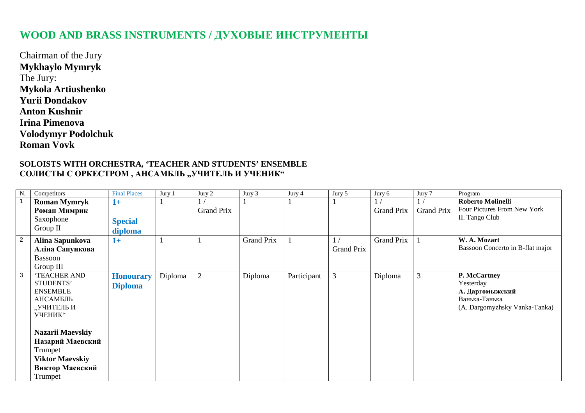## **WOOD AND BRASS INSTRUMENTS / ДУХОВЫЕ ИНСТРУМЕНТЫ**

Chairman of the Jury **Mykhaylo Mymryk**  The Jury: **Mykola Artiushenko Yurii Dondakov Anton Kushnir Irina Pimenova Volodymyr Podolchuk Roman Vovk**

#### **SOLOISTS WITH ORCHESTRA, 'TEACHER AND STUDENTS' ENSEMBLE** СОЛИСТЫ С ОРКЕСТРОМ, АНСАМБЛЬ "УЧИТЕЛЬ И УЧЕНИК"

| N.             | Competitors            | <b>Final Places</b> | Jury 1  | Jury 2            | Jury 3            | Jury 4      | Jury 5            | Jury 6            | Jury 7     | Program                          |
|----------------|------------------------|---------------------|---------|-------------------|-------------------|-------------|-------------------|-------------------|------------|----------------------------------|
|                | <b>Roman Mymryk</b>    | $1+$                |         |                   |                   |             |                   |                   |            | Roberto Molinelli                |
|                | Роман Мимрик           |                     |         | <b>Grand Prix</b> |                   |             |                   | <b>Grand Prix</b> | Grand Prix | Four Pictures From New York      |
|                | Saxophone              | <b>Special</b>      |         |                   |                   |             |                   |                   |            | II. Tango Club                   |
|                | Group II               | diploma             |         |                   |                   |             |                   |                   |            |                                  |
| $\overline{2}$ | Alina Sapunkova        | $1+$                |         |                   | <b>Grand Prix</b> |             |                   | <b>Grand Prix</b> |            | W. A. Mozart                     |
|                | Аліна Сапункова        |                     |         |                   |                   |             | <b>Grand Prix</b> |                   |            | Bassoon Concerto in B-flat major |
|                | Bassoon                |                     |         |                   |                   |             |                   |                   |            |                                  |
|                | Group III              |                     |         |                   |                   |             |                   |                   |            |                                  |
| 3              | 'TEACHER AND           | <b>Honourary</b>    | Diploma | 2                 | Diploma           | Participant | 3                 | Diploma           | 3          | P. McCartney                     |
|                | STUDENTS'              | <b>Diploma</b>      |         |                   |                   |             |                   |                   |            | Yesterday                        |
|                | <b>ENSEMBLE</b>        |                     |         |                   |                   |             |                   |                   |            | А. Даргомыжский                  |
|                | АНСАМБЛЬ               |                     |         |                   |                   |             |                   |                   |            | Ванька-Танька                    |
|                | "УЧИТЕЛЬ И             |                     |         |                   |                   |             |                   |                   |            | (A. Dargomyzhsky Vanka-Tanka)    |
|                | УЧЕНИК"                |                     |         |                   |                   |             |                   |                   |            |                                  |
|                | Nazarii Maevskiy       |                     |         |                   |                   |             |                   |                   |            |                                  |
|                | Назарий Маевский       |                     |         |                   |                   |             |                   |                   |            |                                  |
|                |                        |                     |         |                   |                   |             |                   |                   |            |                                  |
|                | Trumpet                |                     |         |                   |                   |             |                   |                   |            |                                  |
|                | <b>Viktor Maevskiy</b> |                     |         |                   |                   |             |                   |                   |            |                                  |
|                | Виктор Маевский        |                     |         |                   |                   |             |                   |                   |            |                                  |
|                | Trumpet                |                     |         |                   |                   |             |                   |                   |            |                                  |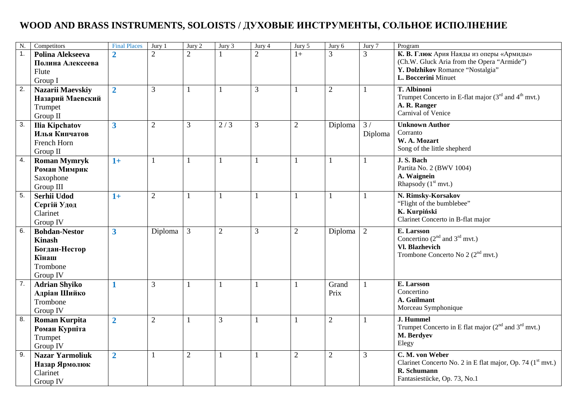# **WOOD AND BRASS INSTRUMENTS, SOLOISTS / ДУХОВЫЕ ИНСТРУМЕНТЫ, СОЛЬНОЕ ИСПОЛНЕНИЕ**

| N.               | Competitors            | <b>Final Places</b>     | Jury 1         | Jury 2         | Jury 3     | Jury 4         | Jury 5         | Jury 6         | Jury $\overline{7}$ | Program                                                                |
|------------------|------------------------|-------------------------|----------------|----------------|------------|----------------|----------------|----------------|---------------------|------------------------------------------------------------------------|
| $\mathbf{1}$ .   | Polina Alekseeva       | $\overline{2}$          | $\overline{2}$ | $\overline{2}$ |            | $\overline{2}$ | $1+$           | 3              | $\overline{3}$      | К. В. Глюк Ария Наяды из оперы «Армиды»                                |
|                  | Полина Алексеева       |                         |                |                |            |                |                |                |                     | (Ch.W. Gluck Aria from the Opera "Armide")                             |
|                  | Flute                  |                         |                |                |            |                |                |                |                     | Y. Dolzhikov Romance "Nostalgia"                                       |
|                  | Group I                |                         |                |                |            |                |                |                |                     | L. Boccerini Minuet                                                    |
| $\overline{2}$ . | Nazarii Maevskiy       | $\overline{2}$          | $\overline{3}$ |                |            | 3              | 1              | $\overline{2}$ | $\mathbf{1}$        | T. Albinoni                                                            |
|                  | Назарий Маевский       |                         |                |                |            |                |                |                |                     | Trumpet Concerto in E-flat major $(3rd$ and $4th$ mvt.)                |
|                  | Trumpet                |                         |                |                |            |                |                |                |                     | A. R. Ranger                                                           |
|                  | Group II               |                         |                |                |            |                |                |                |                     | Carnival of Venice                                                     |
| $\overline{3}$ . | <b>Ilia Kipchatov</b>  | $\overline{\mathbf{3}}$ | $\overline{2}$ | 3              | 2/3        | 3              | $\overline{2}$ | Diploma        | 3/                  | <b>Unknown Author</b>                                                  |
|                  | Илья Кипчатов          |                         |                |                |            |                |                |                | Diploma             | Corranto                                                               |
|                  | French Horn            |                         |                |                |            |                |                |                |                     | W. A. Mozart                                                           |
|                  | Group II               |                         |                |                |            |                |                |                |                     | Song of the little shepherd                                            |
| $\overline{4}$ . | <b>Roman Mymryk</b>    | $1+$                    | $\mathbf{1}$   |                |            |                | $\mathbf{1}$   |                | $\mathbf{1}$        | J.S. Bach                                                              |
|                  | Роман Мимрик           |                         |                |                |            |                |                |                |                     | Partita No. 2 (BWV 1004)                                               |
|                  | Saxophone              |                         |                |                |            |                |                |                |                     | A. Waignein                                                            |
|                  | Group III              |                         |                |                |            |                |                |                |                     | Rhapsody $(1st mvt.)$                                                  |
| 5.               | Serhii Udod            | $1+$                    | $\overline{2}$ |                |            |                | $\mathbf{1}$   |                | -1                  | N. Rimsky-Korsakov                                                     |
|                  | Сергій Удод            |                         |                |                |            |                |                |                |                     | "Flight of the bumblebee"                                              |
|                  | Clarinet               |                         |                |                |            |                |                |                |                     | K. Kurpiński                                                           |
|                  | Group IV               |                         |                |                |            |                |                |                |                     | Clarinet Concerto in B-flat major                                      |
| 6.               | <b>Bohdan-Nestor</b>   | $\overline{\mathbf{3}}$ | Diploma        | 3              | $\sqrt{2}$ | $\overline{3}$ | $\mathbf{2}$   | Diploma        | $\overline{2}$      | E. Larsson                                                             |
|                  | <b>Kinash</b>          |                         |                |                |            |                |                |                |                     | Concertino $(2nd$ and $3rd$ mvt.)                                      |
|                  | Богдан-Нестор          |                         |                |                |            |                |                |                |                     | Vl. Blazhevich                                                         |
|                  | Кінаш                  |                         |                |                |            |                |                |                |                     | Trombone Concerto No 2 $(2nd$ mvt.)                                    |
|                  | Trombone               |                         |                |                |            |                |                |                |                     |                                                                        |
|                  | Group IV               |                         |                |                |            |                |                |                |                     |                                                                        |
| 7.               | <b>Adrian Shyiko</b>   | 1                       | 3              |                |            |                | $\mathbf{1}$   | Grand          | $\mathbf{1}$        | E. Larsson                                                             |
|                  | Адріан Шийко           |                         |                |                |            |                |                | Prix           |                     | Concertino                                                             |
|                  | Trombone               |                         |                |                |            |                |                |                |                     | A. Guilmant                                                            |
|                  | Group IV               |                         |                |                |            |                |                |                |                     | Morceau Symphonique                                                    |
| 8.               | <b>Roman Kurpita</b>   | $\overline{2}$          | $\mathfrak{2}$ |                | 3          |                | $\mathbf{1}$   | $\overline{2}$ | $\mathbf{1}$        | J. Hummel                                                              |
|                  | Роман Курпіта          |                         |                |                |            |                |                |                |                     | Trumpet Concerto in E flat major $(2nd$ and $3rd$ mvt.)                |
|                  | Trumpet                |                         |                |                |            |                |                |                |                     | M. Berdyev                                                             |
|                  | Group IV               |                         |                |                |            |                |                |                |                     | Elegy                                                                  |
| 9.               | <b>Nazar Yarmoliuk</b> | $\overline{2}$          |                | $\overline{2}$ |            |                | $\overline{2}$ | $\overline{2}$ | $\overline{3}$      | C. M. von Weber                                                        |
|                  | Назар Ярмолюк          |                         |                |                |            |                |                |                |                     | Clarinet Concerto No. 2 in E flat major, Op. 74 (1 <sup>st</sup> mvt.) |
|                  | Clarinet               |                         |                |                |            |                |                |                |                     | R. Schumann                                                            |
|                  | Group IV               |                         |                |                |            |                |                |                |                     | Fantasiestücke, Op. 73, No.1                                           |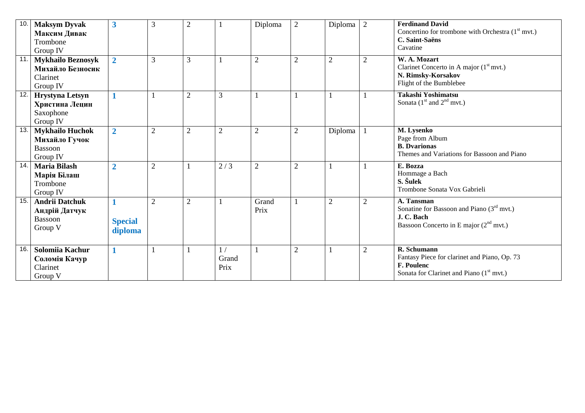| 10.             | <b>Maksym Dyvak</b><br>Максим Дивак<br>Trombone<br>Group IV          | $\overline{\mathbf{3}}$   | 3              | $\mathbf{2}$   |                     | Diploma        | $\overline{2}$ | Diploma        | 2              | <b>Ferdinand David</b><br>Concertino for trombone with Orchestra $(1st$ mvt.)<br>C. Saint-Saëns<br>Cavatine             |
|-----------------|----------------------------------------------------------------------|---------------------------|----------------|----------------|---------------------|----------------|----------------|----------------|----------------|-------------------------------------------------------------------------------------------------------------------------|
| 11.             | <b>Mykhailo Beznosyk</b><br>Михайло Безносик<br>Clarinet<br>Group IV | $\overline{2}$            | 3              | 3              |                     | $\overline{2}$ | $\overline{2}$ | $\overline{2}$ | $\overline{2}$ | W. A. Mozart<br>Clarinet Concerto in A major $(1st$ mvt.)<br>N. Rimsky-Korsakov<br>Flight of the Bumblebee              |
| 12.             | Hrystyna Letsyn<br>Христина Лецин<br>Saxophone<br>Group IV           |                           |                | $\overline{2}$ | 3                   |                |                |                |                | Takashi Yoshimatsu<br>Sonata $(1st$ and $2nd$ mvt.)                                                                     |
| 13.             | <b>Mykhailo Huchok</b><br>Михайло Гучок<br>Bassoon<br>Group IV       | $\overline{2}$            | $\overline{2}$ | $\overline{2}$ | $\overline{2}$      | $\overline{2}$ | $\overline{2}$ | Diploma        |                | M. Lysenko<br>Page from Album<br><b>B.</b> Dvarionas<br>Themes and Variations for Bassoon and Piano                     |
| 14.             | <b>Maria Bilash</b><br>Марія Білаш<br>Trombone<br>Group IV           | $\overline{2}$            | $\overline{2}$ |                | 2/3                 | $\overline{2}$ | $\overline{2}$ |                |                | E. Bozza<br>Hommage a Bach<br>S. Šulek<br>Trombone Sonata Vox Gabrieli                                                  |
| $\overline{15}$ | <b>Andrii Datchuk</b><br>Андрій Датчук<br><b>Bassoon</b><br>Group V  | <b>Special</b><br>diploma | $\overline{2}$ | $\overline{2}$ |                     | Grand<br>Prix  |                | $\overline{2}$ | $\overline{2}$ | A. Tansman<br>Sonatine for Bassoon and Piano $(3rd$ mvt.)<br>J. C. Bach<br>Bassoon Concerto in E major $(2nd$ mvt.)     |
| 16.             | Solomiia Kachur<br>Соломія Качур<br>Clarinet<br>Group V              |                           |                |                | 1/<br>Grand<br>Prix |                | $\overline{2}$ |                | $\overline{2}$ | R. Schumann<br>Fantasy Piece for clarinet and Piano, Op. 73<br>F. Poulenc<br>Sonata for Clarinet and Piano $(1st$ mvt.) |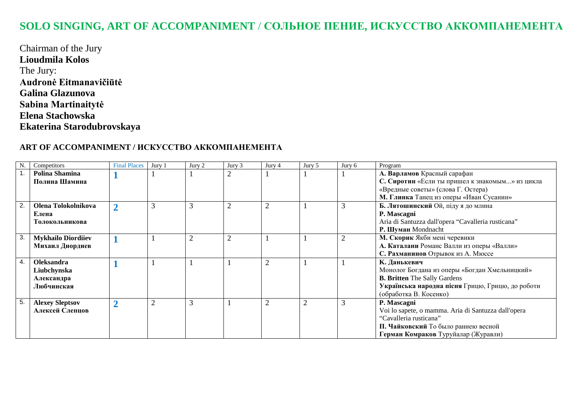# **SOLO SINGING, ART OF ACCOMPANIMENT** / **СОЛЬНОЕ ПЕНИЕ, ИСКУССТВО АККОМПАНЕМЕНТА**

Chairman of the Jury **Lioudmila Kolos**  The Jury: **Audronė Eitmanavičiūtė Galina Glazunova Sabina Martinaitytė Elena Stachowska Ekaterina Starodubrovskaya** 

#### **ART OF ACCOMPANIMENT / ИСКУССТВО АККОМПАНЕМЕНТА**

|    | Competitors               | <b>Final Places</b> | Jury 1 | Jury 2         | Jury 3         | Jury 4         | Jury 5 | Jury 6 | Program                                             |
|----|---------------------------|---------------------|--------|----------------|----------------|----------------|--------|--------|-----------------------------------------------------|
|    | Polina Shamina            |                     |        |                | $\overline{2}$ |                |        |        | А. Варламов Красный сарафан                         |
|    | Полина Шамина             |                     |        |                |                |                |        |        | С. Сиротин «Если ты пришел к знакомым» из цикла     |
|    |                           |                     |        |                |                |                |        |        | «Вредные советы» (слова Г. Остера)                  |
|    |                           |                     |        |                |                |                |        |        | М. Глинка Танец из оперы «Иван Сусанин»             |
| 2. | Olena Tolokolnikova       |                     |        | 3              | $\overline{2}$ | $\overline{2}$ |        |        | Б. Лятошинский Ой, піду я до млина                  |
|    | Елена                     |                     |        |                |                |                |        |        | P. Mascagni                                         |
|    | Толокольникова            |                     |        |                |                |                |        |        | Aria di Santuzza dall'opera "Cavalleria rusticana"  |
|    |                           |                     |        |                |                |                |        |        | P. Шуман Mondnacht                                  |
| 3. | <b>Mykhailo Diordiiev</b> |                     |        | $\overline{2}$ | $\overline{2}$ |                |        |        | М. Скорик Якби мені черевики                        |
|    | Михаил Диордиев           |                     |        |                |                |                |        |        | А. Каталани Романс Валли из оперы «Валли»           |
|    |                           |                     |        |                |                |                |        |        | С. Рахманинов Отрывок из А. Мюссе                   |
| 4. | <b>Oleksandra</b>         |                     |        |                |                | $\overline{2}$ |        |        | К. Данькевич                                        |
|    | Liubchynska               |                     |        |                |                |                |        |        | Монолог Богдана из оперы «Богдан Хмельницкий»       |
|    | Александра                |                     |        |                |                |                |        |        | <b>B. Britten</b> The Sally Gardens                 |
|    | Любчинская                |                     |        |                |                |                |        |        | Українська народна пісня Грицю, Грицю, до роботи    |
|    |                           |                     |        |                |                |                |        |        | (обработка В. Косенко)                              |
| 5. | <b>Alexey Sleptsov</b>    | $\overline{2}$      |        | 3              |                | $\overline{2}$ |        |        | P. Mascagni                                         |
|    | Алексей Слепцов           |                     |        |                |                |                |        |        | Voi lo sapete, o mamma. Aria di Santuzza dall'opera |
|    |                           |                     |        |                |                |                |        |        | "Cavalleria rusticana"                              |
|    |                           |                     |        |                |                |                |        |        | П. Чайковский То было раннею весной                 |
|    |                           |                     |        |                |                |                |        |        | Герман Комраков Туруйалар (Журавли)                 |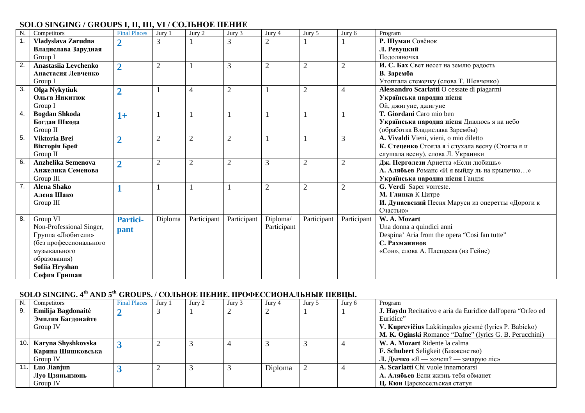#### **SOLO SINGING / GROUPS I, II, III, VI / СОЛЬНОЕ ПЕНИЕ**

| N. | Competitors               | <b>Final Places</b> | Jury 1         | Jury 2         | Jury 3         | Jury 4         | Jury 5         | Jury 6         | Program                                          |
|----|---------------------------|---------------------|----------------|----------------|----------------|----------------|----------------|----------------|--------------------------------------------------|
|    | Vladyslava Zarudna        | $\mathbf 2$         |                |                | 3              | $\overline{2}$ |                |                | Р. Шуман Совёнок                                 |
|    | Владислава Зарудная       |                     |                |                |                |                |                |                | Л. Ревуцкий                                      |
|    | Group I                   |                     |                |                |                |                |                |                | Подоляночка                                      |
| 2. | Anastasiia Levchenko      | $\overline{2}$      | $\overline{2}$ |                | 3              | $\overline{2}$ | $\overline{2}$ | $\overline{2}$ | И. С. Бах Свет несет на землю радость            |
|    | Анастасия Левченко        |                     |                |                |                |                |                |                | В. Заремба                                       |
|    | Group I                   |                     |                |                |                |                |                |                | Утоптала стежечку (слова Т. Шевченко)            |
| 3. | Olga Nykytiuk             | $\overline{2}$      |                | $\overline{4}$ | $\overline{2}$ |                | 2              | $\overline{4}$ | Alessandro Scarlatti O cessate di piagarmi       |
|    | Ольга Никитюк             |                     |                |                |                |                |                |                | Українська народна пісня                         |
|    | Group I                   |                     |                |                |                |                |                |                | Ой, джигуне, джигуне                             |
| 4. | <b>Bogdan Shkoda</b>      | $1+$                |                |                |                |                |                |                | T. Giordani Caro mio ben                         |
|    | Богдан Шкода              |                     |                |                |                |                |                |                | Українська народна пісня Дивлюсь я на небо       |
|    | Group II                  |                     |                |                |                |                |                |                | (обработка Владислава Зарембы)                   |
| 5. | Viktoria Brei             | $\overline{2}$      | $\overline{2}$ | $\overline{2}$ | $\overline{2}$ |                |                | 3              | A. Vivaldi Vieni, vieni, o mio diletto           |
|    | Вікторія Брей             |                     |                |                |                |                |                |                | К. Стеценко Стояла я і слухала весну (Стояла я и |
|    | Group II                  |                     |                |                |                |                |                |                | слушала весну), слова Л. Украинки                |
| 6. | <b>Anzhelika Semenova</b> | $\overline{2}$      | $\overline{2}$ | $\overline{2}$ | $\overline{2}$ | 3              | $\overline{2}$ | $\overline{2}$ | Дж. Перголези Ариетта «Если любишь»              |
|    | Анжелика Семенова         |                     |                |                |                |                |                |                | А. Алябьев Романс «И я выйду ль на крылечко»     |
|    | Group III                 |                     |                |                |                |                |                |                | Українська народна пісня Гандзя                  |
| 7. | <b>Alena Shako</b>        |                     |                |                |                | $\overline{2}$ | $\overline{2}$ | $\overline{2}$ | G. Verdi Saper vorreste.                         |
|    | Алена Шако                |                     |                |                |                |                |                |                | М. Глинка К Цитре                                |
|    | Group III                 |                     |                |                |                |                |                |                | И. Дунаевский Песня Маруси из оперетты «Дороги к |
|    |                           |                     |                |                |                |                |                |                | Счастью»                                         |
| 8. | Group VI                  | Partici-            | Diploma        | Participant    | Participant    | Diploma/       | Participant    | Participant    | W. A. Mozart                                     |
|    | Non-Professional Singer,  | pant                |                |                |                | Participant    |                |                | Una donna a quindici anni                        |
|    | Группа «Любители»         |                     |                |                |                |                |                |                | Despina' Aria from the opera "Cosi fan tutte"    |
|    | (без профессионального    |                     |                |                |                |                |                |                | С. Рахманинов                                    |
|    | музыкального              |                     |                |                |                |                |                |                | «Сон», слова А. Плещеева (из Гейне)              |
|    | образования)              |                     |                |                |                |                |                |                |                                                  |
|    | Sofiia Hryshan            |                     |                |                |                |                |                |                |                                                  |
|    | София Гришан              |                     |                |                |                |                |                |                |                                                  |

# **SOLO SINGING. 4th AND 5th GROUPS. / СОЛЬНОЕ ПЕНИЕ. ПРОФЕССИОНАЛЬНЫЕ ПЕВЦЫ.**

|     | Competitors            | <b>Final Places</b> | Jury. | Jury 2 | Jury 3 | Jury 4  | Jury 5 | Jury 6 | Program                                                     |
|-----|------------------------|---------------------|-------|--------|--------|---------|--------|--------|-------------------------------------------------------------|
| 9.  | Emilija Bagdonaitė     |                     |       |        |        |         |        |        | J. Haydn Recitativo e aria da Euridice dall'opera "Orfeo ed |
|     | Эмилия Багдонайте      |                     |       |        |        |         |        |        | Euridice"                                                   |
|     | Group IV               |                     |       |        |        |         |        |        | V. Kuprevičius Lakštingalos giesmė (lyrics P. Babicko)      |
|     |                        |                     |       |        |        |         |        |        | M. K. Oginski Romance "Dafne" (lyrics G. B. Perucchini)     |
|     | 10. Karyna Shyshkovska |                     |       |        |        |         |        |        | W. A. Mozart Ridente la calma                               |
|     | Карина Шишковська      |                     |       |        |        |         |        |        | F. Schubert Seligkeit (Блаженство)                          |
|     | Group IV               |                     |       |        |        |         |        |        | Л. Дычко «Я — хочеш? — зачарую ліс»                         |
| 11. | Luo Jianjun            |                     |       |        |        | Diploma |        |        | A. Scarlatti Chi vuole innamorarsi                          |
|     | Луо Цзяньцзюнь         |                     |       |        |        |         |        |        | А. Алябьев Если жизнь тебя обманет                          |
|     | Group IV               |                     |       |        |        |         |        |        | Ц. Кюи Царскосельская статуя                                |